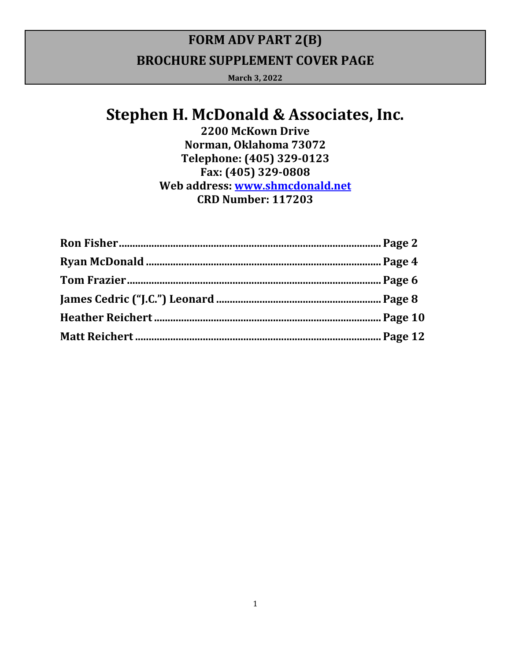# **FORM ADV PART 2(B) BROCHURE SUPPLEMENT COVER PAGE**

**March 3, 2022**

# **Stephen H. McDonald & Associates, Inc.**

**2200 McKown Drive Norman, Oklahoma 73072 Telephone: (405) 329‐0123 Fax: (405) 329‐0808 Web address: www.shmcdonald.net CRD Number: 117203**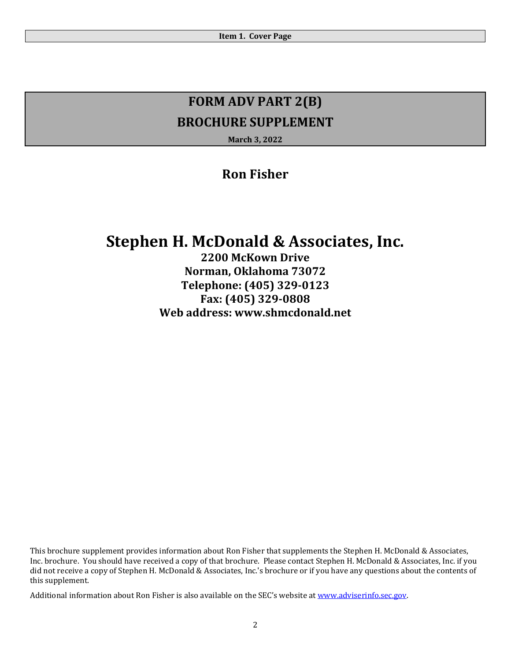**March 3, 2022**

### **Ron Fisher**

# **Stephen H. McDonald & Associates, Inc.**

**2200 McKown Drive Norman, Oklahoma 73072 Telephone: (405) 329‐0123 Fax: (405) 329‐0808 Web address: www.shmcdonald.net**

This brochure supplement provides information about Ron Fisher that supplements the Stephen H. McDonald & Associates, Inc. brochure. You should have received a copy of that brochure. Please contact Stephen H. McDonald & Associates, Inc. if you did not receive a copy of Stephen H. McDonald & Associates, Inc.'s brochure or if you have any questions about the contents of this supplement.

Additional information about Ron Fisher is also available on the SEC's website at www.adviserinfo.sec.gov.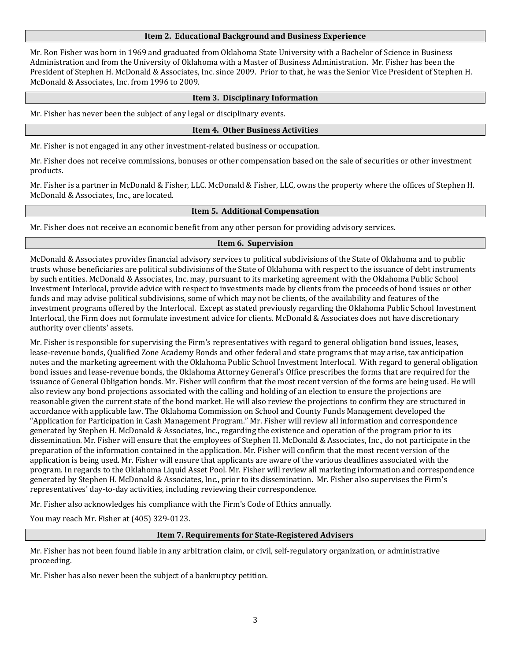Mr. Ron Fisher was born in 1969 and graduated from Oklahoma State University with a Bachelor of Science in Business Administration and from the University of Oklahoma with a Master of Business Administration. Mr. Fisher has been the President of Stephen H. McDonald & Associates, Inc. since 2009. Prior to that, he was the Senior Vice President of Stephen H. McDonald & Associates, Inc. from 1996 to 2009.

### **Item 3. Disciplinary Information**

Mr. Fisher has never been the subject of any legal or disciplinary events.

### **Item 4. Other Business Activities**

Mr. Fisher is not engaged in any other investment-related business or occupation.

Mr. Fisher does not receive commissions, bonuses or other compensation based on the sale of securities or other investment products.

Mr. Fisher is a partner in McDonald & Fisher, LLC. McDonald & Fisher, LLC, owns the property where the offices of Stephen H. McDonald & Associates, Inc., are located.

### **Item 5. Additional Compensation**

Mr. Fisher does not receive an economic benefit from any other person for providing advisory services.

### **Item 6. Supervision**

McDonald & Associates provides financial advisory services to political subdivisions of the State of Oklahoma and to public trusts whose beneficiaries are political subdivisions of the State of Oklahoma with respect to the issuance of debt instruments by such entities. McDonald & Associates, Inc. may, pursuant to its marketing agreement with the Oklahoma Public School Investment Interlocal, provide advice with respect to investments made by clients from the proceeds of bond issues or other funds and may advise political subdivisions, some of which may not be clients, of the availability and features of the investment programs offered by the Interlocal. Except as stated previously regarding the Oklahoma Public School Investment Interlocal, the Firm does not formulate investment advice for clients. McDonald & Associates does not have discretionary authority over clients' assets.

Mr. Fisher is responsible for supervising the Firm's representatives with regard to general obligation bond issues, leases, lease-revenue bonds, Qualified Zone Academy Bonds and other federal and state programs that may arise, tax anticipation notes and the marketing agreement with the Oklahoma Public School Investment Interlocal. With regard to general obligation bond issues and lease-revenue bonds, the Oklahoma Attorney General's Office prescribes the forms that are required for the issuance of General Obligation bonds. Mr. Fisher will confirm that the most recent version of the forms are being used. He will also review any bond projections associated with the calling and holding of an election to ensure the projections are reasonable given the current state of the bond market. He will also review the projections to confirm they are structured in accordance with applicable law. The Oklahoma Commission on School and County Funds Management developed the "Application for Participation in Cash Management Program." Mr. Fisher will review all information and correspondence generated by Stephen H. McDonald & Associates, Inc., regarding the existence and operation of the program prior to its dissemination. Mr. Fisher will ensure that the employees of Stephen H. McDonald & Associates, Inc., do not participate in the preparation of the information contained in the application. Mr. Fisher will confirm that the most recent version of the application is being used. Mr. Fisher will ensure that applicants are aware of the various deadlines associated with the program. In regards to the Oklahoma Liquid Asset Pool. Mr. Fisher will review all marketing information and correspondence generated by Stephen H. McDonald & Associates, Inc., prior to its dissemination. Mr. Fisher also supervises the Firm's representatives' day-to-day activities, including reviewing their correspondence.

Mr. Fisher also acknowledges his compliance with the Firm's Code of Ethics annually.

You may reach Mr. Fisher at (405) 329-0123.

### **Item 7. Requirements for State‐Registered Advisers**

Mr. Fisher has not been found liable in any arbitration claim, or civil, self-regulatory organization, or administrative proceeding.

Mr. Fisher has also never been the subject of a bankruptcy petition.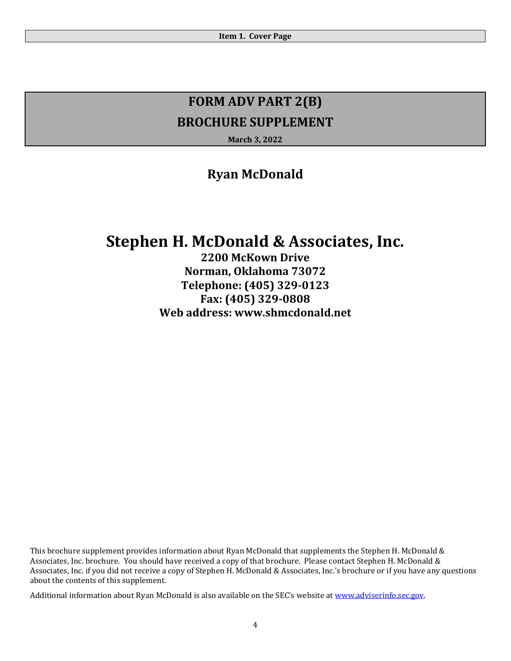**March 3, 2022**

### **Ryan McDonald**

# **Stephen H. McDonald & Associates, Inc.**

**2200 McKown Drive Norman, Oklahoma 73072 Telephone: (405) 329‐0123 Fax: (405) 329‐0808 Web address: www.shmcdonald.net**

This brochure supplement provides information about Ryan McDonald that supplements the Stephen H. McDonald & Associates, Inc. brochure. You should have received a copy of that brochure. Please contact Stephen H. McDonald & Associates, Inc. if you did not receive a copy of Stephen H. McDonald & Associates, Inc.'s brochure or if you have any questions about the contents of this supplement.

Additional information about Ryan McDonald is also available on the SEC's website at www.adviserinfo.sec.gov.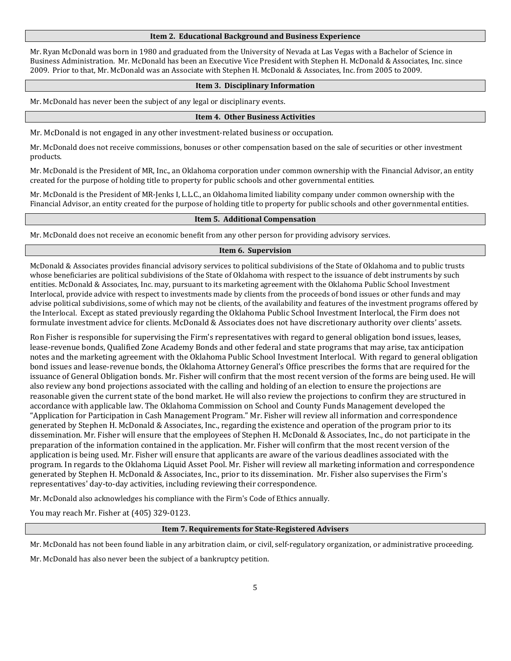Mr. Ryan McDonald was born in 1980 and graduated from the University of Nevada at Las Vegas with a Bachelor of Science in Business Administration. Mr. McDonald has been an Executive Vice President with Stephen H. McDonald & Associates, Inc. since 2009. Prior to that, Mr. McDonald was an Associate with Stephen H. McDonald & Associates, Inc. from 2005 to 2009.

### **Item 3. Disciplinary Information**

Mr. McDonald has never been the subject of any legal or disciplinary events.

#### **Item 4. Other Business Activities**

Mr. McDonald is not engaged in any other investment-related business or occupation.

Mr. McDonald does not receive commissions, bonuses or other compensation based on the sale of securities or other investment products.

Mr. McDonald is the President of MR, Inc., an Oklahoma corporation under common ownership with the Financial Advisor, an entity created for the purpose of holding title to property for public schools and other governmental entities.

Mr. McDonald is the President of MR-Jenks I, L.L.C., an Oklahoma limited liability company under common ownership with the Financial Advisor, an entity created for the purpose of holding title to property for public schools and other governmental entities.

### **Item 5. Additional Compensation**

Mr. McDonald does not receive an economic benefit from any other person for providing advisory services.

#### **Item 6. Supervision**

McDonald & Associates provides financial advisory services to political subdivisions of the State of Oklahoma and to public trusts whose beneficiaries are political subdivisions of the State of Oklahoma with respect to the issuance of debt instruments by such entities. McDonald & Associates, Inc. may, pursuant to its marketing agreement with the Oklahoma Public School Investment Interlocal, provide advice with respect to investments made by clients from the proceeds of bond issues or other funds and may advise political subdivisions, some of which may not be clients, of the availability and features of the investment programs offered by the Interlocal. Except as stated previously regarding the Oklahoma Public School Investment Interlocal, the Firm does not formulate investment advice for clients. McDonald & Associates does not have discretionary authority over clients' assets.

Ron Fisher is responsible for supervising the Firm's representatives with regard to general obligation bond issues, leases, lease-revenue bonds, Qualified Zone Academy Bonds and other federal and state programs that may arise, tax anticipation notes and the marketing agreement with the Oklahoma Public School Investment Interlocal. With regard to general obligation bond issues and lease-revenue bonds, the Oklahoma Attorney General's Office prescribes the forms that are required for the issuance of General Obligation bonds. Mr. Fisher will confirm that the most recent version of the forms are being used. He will also review any bond projections associated with the calling and holding of an election to ensure the projections are reasonable given the current state of the bond market. He will also review the projections to confirm they are structured in accordance with applicable law. The Oklahoma Commission on School and County Funds Management developed the "Application for Participation in Cash Management Program." Mr. Fisher will review all information and correspondence generated by Stephen H. McDonald & Associates, Inc., regarding the existence and operation of the program prior to its dissemination. Mr. Fisher will ensure that the employees of Stephen H. McDonald & Associates, Inc., do not participate in the preparation of the information contained in the application. Mr. Fisher will confirm that the most recent version of the application is being used. Mr. Fisher will ensure that applicants are aware of the various deadlines associated with the program. In regards to the Oklahoma Liquid Asset Pool. Mr. Fisher will review all marketing information and correspondence generated by Stephen H. McDonald & Associates, Inc., prior to its dissemination. Mr. Fisher also supervises the Firm's representatives' day-to-day activities, including reviewing their correspondence.

Mr. McDonald also acknowledges his compliance with the Firm's Code of Ethics annually.

You may reach Mr. Fisher at (405) 329-0123.

#### **Item 7. Requirements for State‐Registered Advisers**

Mr. McDonald has not been found liable in any arbitration claim, or civil, self-regulatory organization, or administrative proceeding.

Mr. McDonald has also never been the subject of a bankruptcy petition.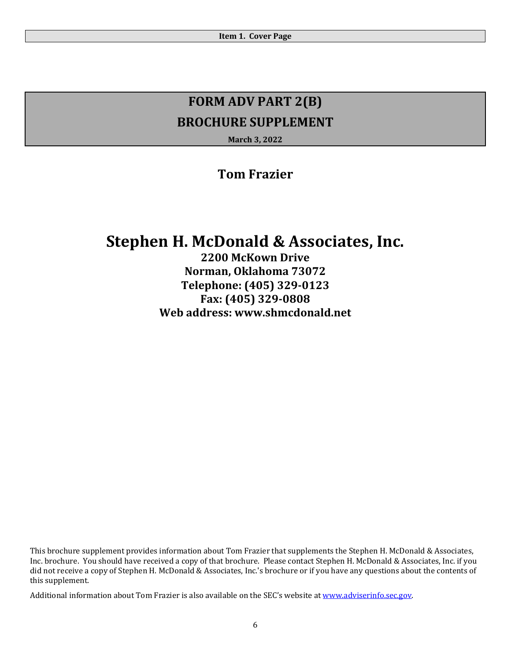**March 3, 2022**

### **Tom Frazier**

# **Stephen H. McDonald & Associates, Inc.**

**2200 McKown Drive Norman, Oklahoma 73072 Telephone: (405) 329‐0123 Fax: (405) 329‐0808 Web address: www.shmcdonald.net**

This brochure supplement provides information about Tom Frazier that supplements the Stephen H. McDonald & Associates, Inc. brochure. You should have received a copy of that brochure. Please contact Stephen H. McDonald & Associates, Inc. if you did not receive a copy of Stephen H. McDonald & Associates, Inc.'s brochure or if you have any questions about the contents of this supplement.

Additional information about Tom Frazier is also available on the SEC's website at www.adviserinfo.sec.gov.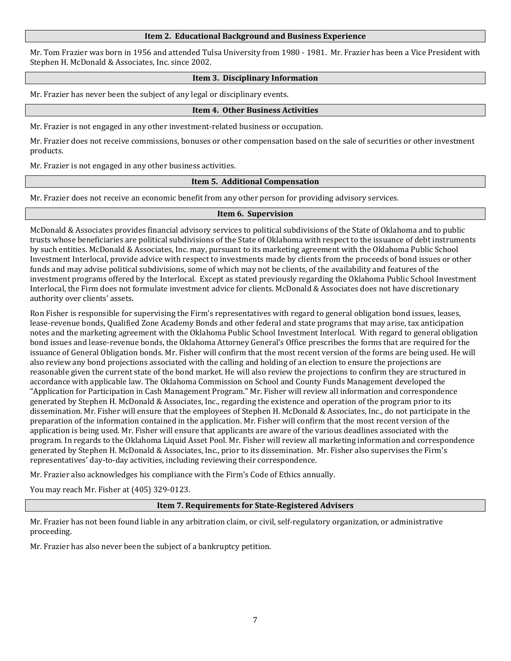Mr. Tom Frazier was born in 1956 and attended Tulsa University from 1980 - 1981. Mr. Frazier has been a Vice President with Stephen H. McDonald & Associates, Inc. since 2002.

### **Item 3. Disciplinary Information**

Mr. Frazier has never been the subject of any legal or disciplinary events.

### **Item 4. Other Business Activities**

Mr. Frazier is not engaged in any other investment-related business or occupation.

Mr. Frazier does not receive commissions, bonuses or other compensation based on the sale of securities or other investment products.

Mr. Frazier is not engaged in any other business activities.

### **Item 5. Additional Compensation**

Mr. Frazier does not receive an economic benefit from any other person for providing advisory services.

### **Item 6. Supervision**

McDonald & Associates provides financial advisory services to political subdivisions of the State of Oklahoma and to public trusts whose beneficiaries are political subdivisions of the State of Oklahoma with respect to the issuance of debt instruments by such entities. McDonald & Associates, Inc. may, pursuant to its marketing agreement with the Oklahoma Public School Investment Interlocal, provide advice with respect to investments made by clients from the proceeds of bond issues or other funds and may advise political subdivisions, some of which may not be clients, of the availability and features of the investment programs offered by the Interlocal. Except as stated previously regarding the Oklahoma Public School Investment Interlocal, the Firm does not formulate investment advice for clients. McDonald & Associates does not have discretionary authority over clients' assets.

Ron Fisher is responsible for supervising the Firm's representatives with regard to general obligation bond issues, leases, lease-revenue bonds, Qualified Zone Academy Bonds and other federal and state programs that may arise, tax anticipation notes and the marketing agreement with the Oklahoma Public School Investment Interlocal. With regard to general obligation bond issues and lease-revenue bonds, the Oklahoma Attorney General's Office prescribes the forms that are required for the issuance of General Obligation bonds. Mr. Fisher will confirm that the most recent version of the forms are being used. He will also review any bond projections associated with the calling and holding of an election to ensure the projections are reasonable given the current state of the bond market. He will also review the projections to confirm they are structured in accordance with applicable law. The Oklahoma Commission on School and County Funds Management developed the "Application for Participation in Cash Management Program." Mr. Fisher will review all information and correspondence generated by Stephen H. McDonald & Associates, Inc., regarding the existence and operation of the program prior to its dissemination. Mr. Fisher will ensure that the employees of Stephen H. McDonald & Associates, Inc., do not participate in the preparation of the information contained in the application. Mr. Fisher will confirm that the most recent version of the application is being used. Mr. Fisher will ensure that applicants are aware of the various deadlines associated with the program. In regards to the Oklahoma Liquid Asset Pool. Mr. Fisher will review all marketing information and correspondence generated by Stephen H. McDonald & Associates, Inc., prior to its dissemination. Mr. Fisher also supervises the Firm's representatives' day-to-day activities, including reviewing their correspondence.

Mr. Frazier also acknowledges his compliance with the Firm's Code of Ethics annually.

You may reach Mr. Fisher at (405) 329-0123.

### **Item 7. Requirements for State‐Registered Advisers**

Mr. Frazier has not been found liable in any arbitration claim, or civil, self-regulatory organization, or administrative proceeding.

Mr. Frazier has also never been the subject of a bankruptcy petition.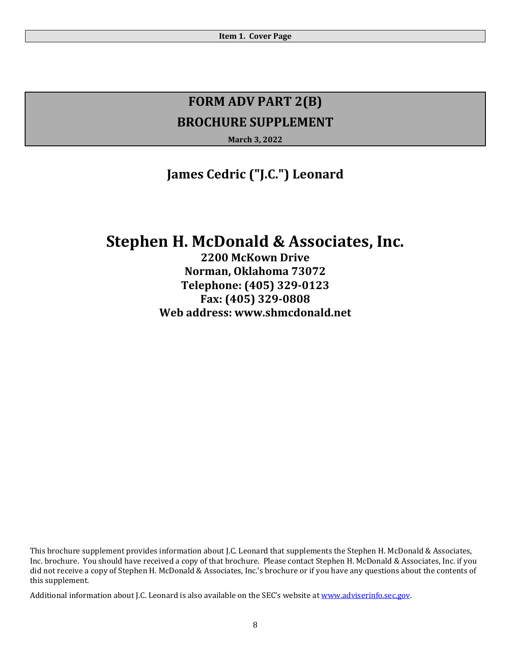**March 3, 2022**

## **James Cedric ("J.C.") Leonard**

# **Stephen H. McDonald & Associates, Inc.**

**2200 McKown Drive Norman, Oklahoma 73072 Telephone: (405) 329‐0123 Fax: (405) 329‐0808 Web address: www.shmcdonald.net**

This brochure supplement provides information about J.C. Leonard that supplements the Stephen H. McDonald & Associates, Inc. brochure. You should have received a copy of that brochure. Please contact Stephen H. McDonald & Associates, Inc. if you did not receive a copy of Stephen H. McDonald & Associates, Inc.'s brochure or if you have any questions about the contents of this supplement.

Additional information about J.C. Leonard is also available on the SEC's website at www.adviserinfo.sec.gov.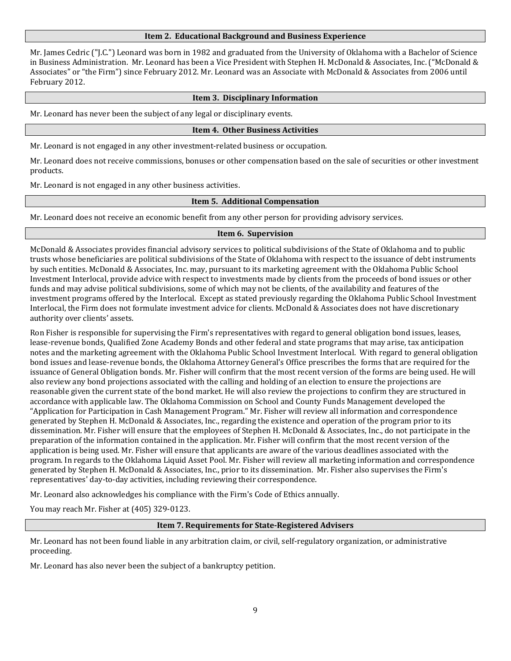Mr. James Cedric ("J.C.") Leonard was born in 1982 and graduated from the University of Oklahoma with a Bachelor of Science in Business Administration. Mr. Leonard has been a Vice President with Stephen H. McDonald & Associates, Inc. ("McDonald & Associates" or "the Firm") since February 2012. Mr. Leonard was an Associate with McDonald & Associates from 2006 until February 2012.

### **Item 3. Disciplinary Information**

Mr. Leonard has never been the subject of any legal or disciplinary events.

### **Item 4. Other Business Activities**

Mr. Leonard is not engaged in any other investment-related business or occupation.

Mr. Leonard does not receive commissions, bonuses or other compensation based on the sale of securities or other investment products.

Mr. Leonard is not engaged in any other business activities.

### **Item 5. Additional Compensation**

Mr. Leonard does not receive an economic benefit from any other person for providing advisory services.

### **Item 6. Supervision**

McDonald & Associates provides financial advisory services to political subdivisions of the State of Oklahoma and to public trusts whose beneficiaries are political subdivisions of the State of Oklahoma with respect to the issuance of debt instruments by such entities. McDonald & Associates, Inc. may, pursuant to its marketing agreement with the Oklahoma Public School Investment Interlocal, provide advice with respect to investments made by clients from the proceeds of bond issues or other funds and may advise political subdivisions, some of which may not be clients, of the availability and features of the investment programs offered by the Interlocal. Except as stated previously regarding the Oklahoma Public School Investment Interlocal, the Firm does not formulate investment advice for clients. McDonald & Associates does not have discretionary authority over clients' assets.

Ron Fisher is responsible for supervising the Firm's representatives with regard to general obligation bond issues, leases, lease-revenue bonds, Qualified Zone Academy Bonds and other federal and state programs that may arise, tax anticipation notes and the marketing agreement with the Oklahoma Public School Investment Interlocal. With regard to general obligation bond issues and lease-revenue bonds, the Oklahoma Attorney General's Office prescribes the forms that are required for the issuance of General Obligation bonds. Mr. Fisher will confirm that the most recent version of the forms are being used. He will also review any bond projections associated with the calling and holding of an election to ensure the projections are reasonable given the current state of the bond market. He will also review the projections to confirm they are structured in accordance with applicable law. The Oklahoma Commission on School and County Funds Management developed the "Application for Participation in Cash Management Program." Mr. Fisher will review all information and correspondence generated by Stephen H. McDonald & Associates, Inc., regarding the existence and operation of the program prior to its dissemination. Mr. Fisher will ensure that the employees of Stephen H. McDonald & Associates, Inc., do not participate in the preparation of the information contained in the application. Mr. Fisher will confirm that the most recent version of the application is being used. Mr. Fisher will ensure that applicants are aware of the various deadlines associated with the program. In regards to the Oklahoma Liquid Asset Pool. Mr. Fisher will review all marketing information and correspondence generated by Stephen H. McDonald & Associates, Inc., prior to its dissemination. Mr. Fisher also supervises the Firm's representatives' day-to-day activities, including reviewing their correspondence.

Mr. Leonard also acknowledges his compliance with the Firm's Code of Ethics annually.

You may reach Mr. Fisher at (405) 329-0123.

### **Item 7. Requirements for State‐Registered Advisers**

Mr. Leonard has not been found liable in any arbitration claim, or civil, self-regulatory organization, or administrative proceeding.

Mr. Leonard has also never been the subject of a bankruptcy petition.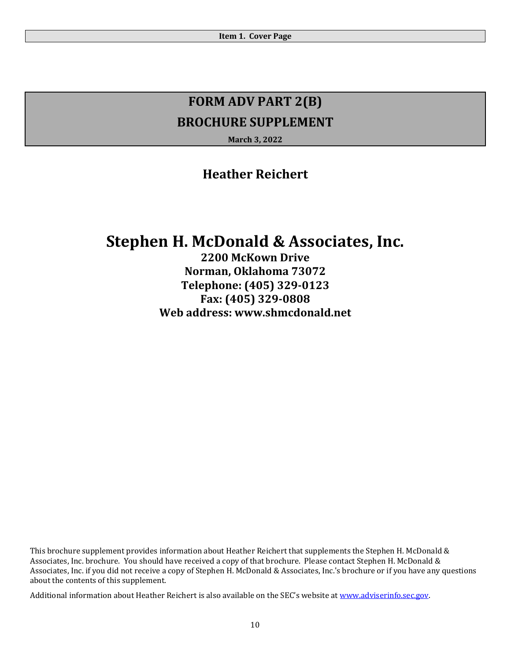**March 3, 2022**

### **Heather Reichert**

# **Stephen H. McDonald & Associates, Inc.**

**2200 McKown Drive Norman, Oklahoma 73072 Telephone: (405) 329‐0123 Fax: (405) 329‐0808 Web address: www.shmcdonald.net**

This brochure supplement provides information about Heather Reichert that supplements the Stephen H. McDonald & Associates, Inc. brochure. You should have received a copy of that brochure. Please contact Stephen H. McDonald & Associates, Inc. if you did not receive a copy of Stephen H. McDonald & Associates, Inc.'s brochure or if you have any questions about the contents of this supplement.

Additional information about Heather Reichert is also available on the SEC's website at www.adviserinfo.sec.gov.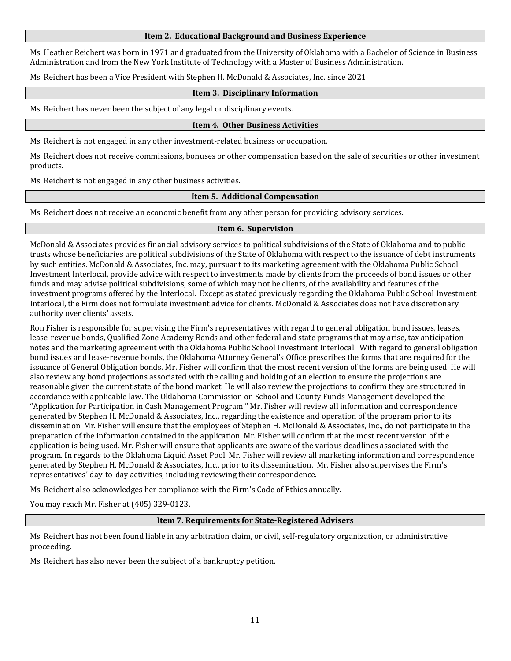Ms. Heather Reichert was born in 1971 and graduated from the University of Oklahoma with a Bachelor of Science in Business Administration and from the New York Institute of Technology with a Master of Business Administration.

Ms. Reichert has been a Vice President with Stephen H. McDonald & Associates, Inc. since 2021.

### **Item 3. Disciplinary Information**

Ms. Reichert has never been the subject of any legal or disciplinary events.

### **Item 4. Other Business Activities**

Ms. Reichert is not engaged in any other investment-related business or occupation.

Ms. Reichert does not receive commissions, bonuses or other compensation based on the sale of securities or other investment products.

Ms. Reichert is not engaged in any other business activities.

### **Item 5. Additional Compensation**

Ms. Reichert does not receive an economic benefit from any other person for providing advisory services.

### **Item 6. Supervision**

McDonald & Associates provides financial advisory services to political subdivisions of the State of Oklahoma and to public trusts whose beneficiaries are political subdivisions of the State of Oklahoma with respect to the issuance of debt instruments by such entities. McDonald & Associates, Inc. may, pursuant to its marketing agreement with the Oklahoma Public School Investment Interlocal, provide advice with respect to investments made by clients from the proceeds of bond issues or other funds and may advise political subdivisions, some of which may not be clients, of the availability and features of the investment programs offered by the Interlocal. Except as stated previously regarding the Oklahoma Public School Investment Interlocal, the Firm does not formulate investment advice for clients. McDonald & Associates does not have discretionary authority over clients' assets.

Ron Fisher is responsible for supervising the Firm's representatives with regard to general obligation bond issues, leases, lease-revenue bonds, Qualified Zone Academy Bonds and other federal and state programs that may arise, tax anticipation notes and the marketing agreement with the Oklahoma Public School Investment Interlocal. With regard to general obligation bond issues and lease-revenue bonds, the Oklahoma Attorney General's Office prescribes the forms that are required for the issuance of General Obligation bonds. Mr. Fisher will confirm that the most recent version of the forms are being used. He will also review any bond projections associated with the calling and holding of an election to ensure the projections are reasonable given the current state of the bond market. He will also review the projections to confirm they are structured in accordance with applicable law. The Oklahoma Commission on School and County Funds Management developed the "Application for Participation in Cash Management Program." Mr. Fisher will review all information and correspondence generated by Stephen H. McDonald & Associates, Inc., regarding the existence and operation of the program prior to its dissemination. Mr. Fisher will ensure that the employees of Stephen H. McDonald & Associates, Inc., do not participate in the preparation of the information contained in the application. Mr. Fisher will confirm that the most recent version of the application is being used. Mr. Fisher will ensure that applicants are aware of the various deadlines associated with the program. In regards to the Oklahoma Liquid Asset Pool. Mr. Fisher will review all marketing information and correspondence generated by Stephen H. McDonald & Associates, Inc., prior to its dissemination. Mr. Fisher also supervises the Firm's representatives' day-to-day activities, including reviewing their correspondence.

Ms. Reichert also acknowledges her compliance with the Firm's Code of Ethics annually.

You may reach Mr. Fisher at (405) 329-0123.

### **Item 7. Requirements for State‐Registered Advisers**

Ms. Reichert has not been found liable in any arbitration claim, or civil, self-regulatory organization, or administrative proceeding.

Ms. Reichert has also never been the subject of a bankruptcy petition.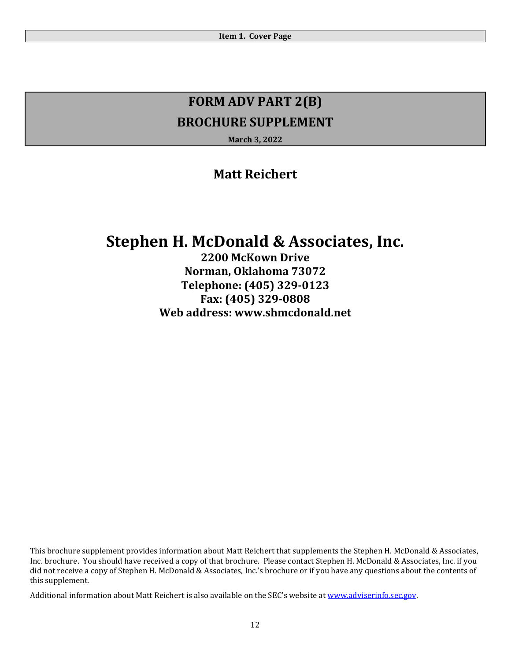**March 3, 2022**

### **Matt Reichert**

# **Stephen H. McDonald & Associates, Inc.**

**2200 McKown Drive Norman, Oklahoma 73072 Telephone: (405) 329‐0123 Fax: (405) 329‐0808 Web address: www.shmcdonald.net**

This brochure supplement provides information about Matt Reichert that supplements the Stephen H. McDonald & Associates, Inc. brochure. You should have received a copy of that brochure. Please contact Stephen H. McDonald & Associates, Inc. if you did not receive a copy of Stephen H. McDonald & Associates, Inc.'s brochure or if you have any questions about the contents of this supplement.

Additional information about Matt Reichert is also available on the SEC's website at www.adviserinfo.sec.gov.